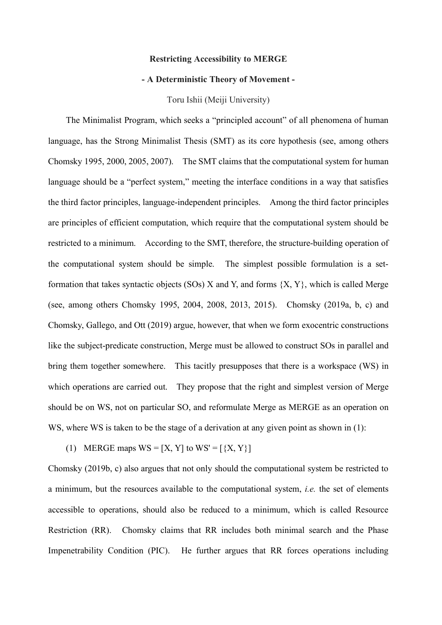#### **Restricting Accessibility to MERGE**

### **- A Deterministic Theory of Movement -**

#### Toru Ishii (Meiji University)

The Minimalist Program, which seeks a "principled account" of all phenomena of human language, has the Strong Minimalist Thesis (SMT) as its core hypothesis (see, among others Chomsky 1995, 2000, 2005, 2007). The SMT claims that the computational system for human language should be a "perfect system," meeting the interface conditions in a way that satisfies the third factor principles, language-independent principles. Among the third factor principles are principles of efficient computation, which require that the computational system should be restricted to a minimum. According to the SMT, therefore, the structure-building operation of the computational system should be simple. The simplest possible formulation is a setformation that takes syntactic objects (SOs)  $X$  and  $Y$ , and forms  $\{X, Y\}$ , which is called Merge (see, among others Chomsky 1995, 2004, 2008, 2013, 2015). Chomsky (2019a, b, c) and Chomsky, Gallego, and Ott (2019) argue, however, that when we form exocentric constructions like the subject-predicate construction, Merge must be allowed to construct SOs in parallel and bring them together somewhere. This tacitly presupposes that there is a workspace (WS) in which operations are carried out. They propose that the right and simplest version of Merge should be on WS, not on particular SO, and reformulate Merge as MERGE as an operation on WS, where WS is taken to be the stage of a derivation at any given point as shown in (1):

(1) MERGE maps  $WS = [X, Y]$  to  $WS' = [{X, Y}]$ 

Chomsky (2019b, c) also argues that not only should the computational system be restricted to a minimum, but the resources available to the computational system, *i.e.* the set of elements accessible to operations, should also be reduced to a minimum, which is called Resource Restriction (RR). Chomsky claims that RR includes both minimal search and the Phase Impenetrability Condition (PIC). He further argues that RR forces operations including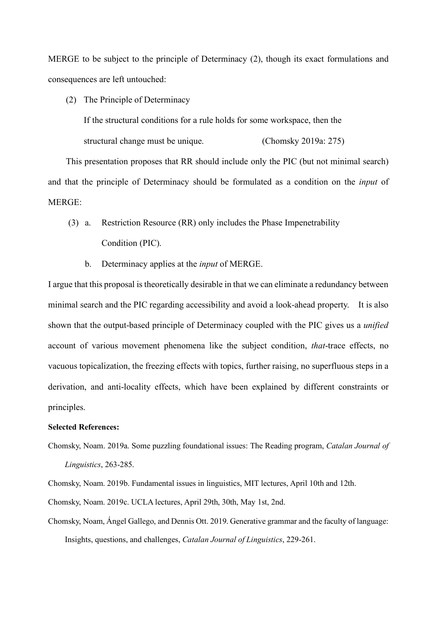MERGE to be subject to the principle of Determinacy (2), though its exact formulations and consequences are left untouched:

(2) The Principle of Determinacy

If the structural conditions for a rule holds for some workspace, then the structural change must be unique. (Chomsky 2019a: 275)

This presentation proposes that RR should include only the PIC (but not minimal search) and that the principle of Determinacy should be formulated as a condition on the *input* of MERGE:

- (3) a. Restriction Resource (RR) only includes the Phase Impenetrability Condition (PIC).
	- b. Determinacy applies at the *input* of MERGE.

I argue that this proposal is theoretically desirable in that we can eliminate a redundancy between minimal search and the PIC regarding accessibility and avoid a look-ahead property. It is also shown that the output-based principle of Determinacy coupled with the PIC gives us a *unified* account of various movement phenomena like the subject condition, *that*-trace effects, no vacuous topicalization, the freezing effects with topics, further raising, no superfluous steps in a derivation, and anti-locality effects, which have been explained by different constraints or principles.

#### **Selected References:**

Chomsky, Noam. 2019a. Some puzzling foundational issues: The Reading program, *Catalan Journal of Linguistics*, 263-285.

Chomsky, Noam. 2019b. Fundamental issues in linguistics, MIT lectures, April 10th and 12th.

Chomsky, Noam. 2019c. UCLA lectures, April 29th, 30th, May 1st, 2nd.

Chomsky, Noam, Ángel Gallego, and Dennis Ott. 2019. Generative grammar and the faculty of language: Insights, questions, and challenges, *Catalan Journal of Linguistics*, 229-261.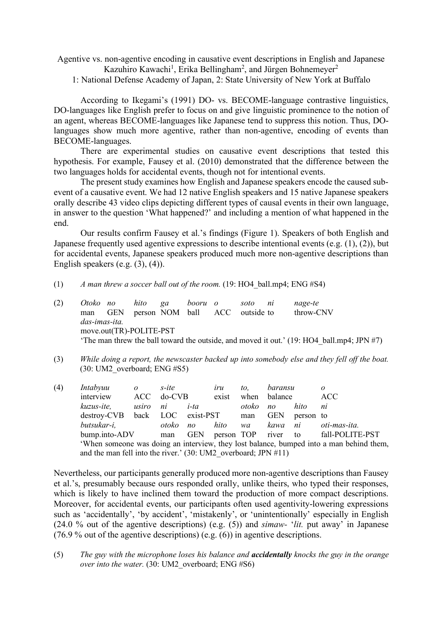Agentive vs. non-agentive encoding in causative event descriptions in English and Japanese Kazuhiro Kawachi<sup>1</sup>, Erika Bellingham<sup>2</sup>, and Jürgen Bohnemeyer<sup>2</sup>

1: National Defense Academy of Japan, 2: State University of New York at Buffalo

According to Ikegami's (1991) DO- vs. BECOME-language contrastive linguistics, DO-languages like English prefer to focus on and give linguistic prominence to the notion of an agent, whereas BECOME-languages like Japanese tend to suppress this notion. Thus, DOlanguages show much more agentive, rather than non-agentive, encoding of events than BECOME-languages.

There are experimental studies on causative event descriptions that tested this hypothesis. For example, Fausey et al. (2010) demonstrated that the difference between the two languages holds for accidental events, though not for intentional events.

The present study examines how English and Japanese speakers encode the caused subevent of a causative event. We had 12 native English speakers and 15 native Japanese speakers orally describe 43 video clips depicting different types of causal events in their own language, in answer to the question 'What happened?' and including a mention of what happened in the end.

Our results confirm Fausey et al.'s findings (Figure 1). Speakers of both English and Japanese frequently used agentive expressions to describe intentional events (e.g. (1), (2)), but for accidental events, Japanese speakers produced much more non-agentive descriptions than English speakers (e.g.  $(3)$ ,  $(4)$ ).

- (1) *A man threw a soccer ball out of the room.* (19: HO4\_ball.mp4; ENG #S4)
- (2) *Otoko no hito ga booru o soto ni nage-te* man GEN person NOM ball ACC outside to throw-CNV *das-imas-ita.* move.out(TR)-POLITE-PST 'The man threw the ball toward the outside, and moved it out.' (19: HO4 ball.mp4; JPN  $#7$ )
- (3) *While doing a report, the newscaster backed up into somebody else and they fell off the boat.* (30: UM2\_overboard; ENG #S5)

| (4) | Intabyuu                                                                                | $\boldsymbol{o}$ | s-ite     |            | iru   | to.   | baransu             |           | 0               |
|-----|-----------------------------------------------------------------------------------------|------------------|-----------|------------|-------|-------|---------------------|-----------|-----------------|
|     | interview                                                                               | <b>ACC</b>       | $do$ -CVB |            | exist |       | when balance        |           | ACC             |
|     | kuzus-ite,                                                                              | usiro            | ni        | $i$ -ta    |       | otoko | n <sub>O</sub>      | hito      | ni              |
|     | destroy-CVB back LOC exist-PST                                                          |                  |           |            |       | man   | <b>GEN</b>          | person to |                 |
|     | butsukar-i,                                                                             |                  | otoko     | $n_{O}$    | hito  | wa    | kawa                | ni        | oti-mas-ita.    |
|     | bump.into-ADV                                                                           |                  | man       | <b>GEN</b> |       |       | person TOP river to |           | fall-POLITE-PST |
|     | 'When someone was doing an interview, they lost balance, bumped into a man behind them, |                  |           |            |       |       |                     |           |                 |
|     | and the man fell into the river.' $(30:UM2$ overboard; JPN #11)                         |                  |           |            |       |       |                     |           |                 |

Nevertheless, our participants generally produced more non-agentive descriptions than Fausey et al.'s, presumably because ours responded orally, unlike theirs, who typed their responses, which is likely to have inclined them toward the production of more compact descriptions. Moreover, for accidental events, our participants often used agentivity-lowering expressions such as 'accidentally', 'by accident', 'mistakenly', or 'unintentionally' especially in English (24.0 % out of the agentive descriptions) (e.g. (5)) and *simaw-* '*lit.* put away' in Japanese (76.9 % out of the agentive descriptions) (e.g. (6)) in agentive descriptions.

(5) *The guy with the microphone loses his balance and accidentally knocks the guy in the orange over into the water.* (30: UM2 overboard; ENG #S6)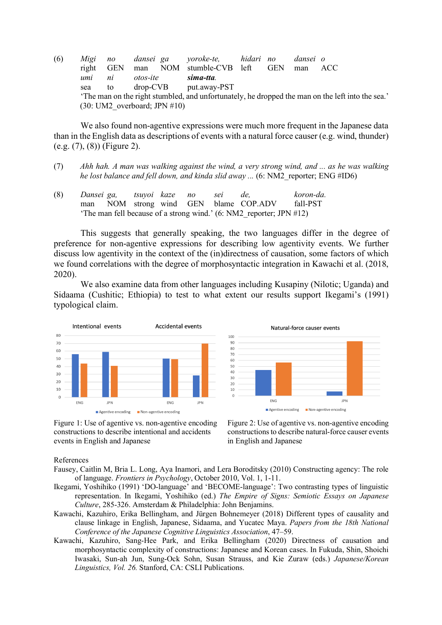(6) *Migi no dansei ga yoroke-te, hidari no dansei o* right GEN man NOM stumble-CVB left GEN man ACC *umi ni otos-ite sima-tta.* sea to drop-CVB put.away-PST 'The man on the right stumbled, and unfortunately, he dropped the man on the left into the sea.' (30: UM2\_overboard; JPN #10)

We also found non-agentive expressions were much more frequent in the Japanese data than in the English data as descriptions of events with a natural force causer (e.g. wind, thunder) (e.g. (7), (8)) (Figure 2).

- (7) *Ahh hah. A man was walking against the wind, a very strong wind, and ... as he was walking he lost balance and fell down, and kinda slid away ...* (6: NM2\_reporter; ENG #ID6)
- (8) *Dansei ga, tsuyoi kaze no sei de, koron-da.* man NOM strong wind GEN blame COP.ADV fall-PST 'The man fell because of a strong wind.' (6: NM2\_reporter; JPN #12)

This suggests that generally speaking, the two languages differ in the degree of preference for non-agentive expressions for describing low agentivity events. We further discuss low agentivity in the context of the (in)directness of causation, some factors of which we found correlations with the degree of morphosyntactic integration in Kawachi et al. (2018, 2020).

We also examine data from other languages including Kusapiny (Nilotic; Uganda) and Sidaama (Cushitic; Ethiopia) to test to what extent our results support Ikegami's (1991) typological claim.



constructions to describe intentional and accidents constructions to describe natural-force causer events events in English and Japanese in English and Japanese



Figure 1: Use of agentive vs. non-agentive encoding Figure 2: Use of agentive vs. non-agentive encoding

References

- Fausey, Caitlin M, Bria L. Long, Aya Inamori, and Lera Boroditsky (2010) Constructing agency: The role of language. *Frontiers in Psychology*, October 2010, Vol. 1, 1-11.
- Ikegami, Yoshihiko (1991) 'DO-language' and 'BECOME-language': Two contrasting types of linguistic representation. In Ikegami, Yoshihiko (ed.) *The Empire of Signs: Semiotic Essays on Japanese Culture*, 285-326. Amsterdam & Philadelphia: John Benjamins.
- Kawachi, Kazuhiro, Erika Bellingham, and Jürgen Bohnemeyer (2018) Different types of causality and clause linkage in English, Japanese, Sidaama, and Yucatec Maya. *Papers from the 18th National Conference of the Japanese Cognitive Linguistics Association*, 47–59.
- Kawachi, Kazuhiro, Sang-Hee Park, and Erika Bellingham (2020) Directness of causation and morphosyntactic complexity of constructions: Japanese and Korean cases. In Fukuda, Shin, Shoichi Iwasaki, Sun-ah Jun, Sung-Ock Sohn, Susan Strauss, and Kie Zuraw (eds.) *Japanese/Korean Linguistics, Vol. 26.* Stanford, CA: CSLI Publications.